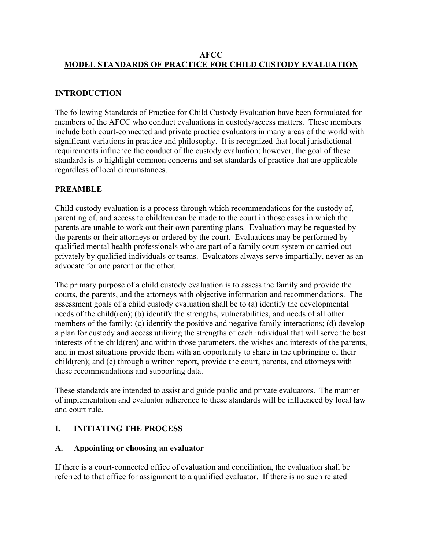#### **AFCC MODEL STANDARDS OF PRACTICE FOR CHILD CUSTODY EVALUATION**

#### **INTRODUCTION**

The following Standards of Practice for Child Custody Evaluation have been formulated for members of the AFCC who conduct evaluations in custody/access matters. These members include both court-connected and private practice evaluators in many areas of the world with significant variations in practice and philosophy. It is recognized that local jurisdictional requirements influence the conduct of the custody evaluation; however, the goal of these standards is to highlight common concerns and set standards of practice that are applicable regardless of local circumstances.

#### **PREAMBLE**

Child custody evaluation is a process through which recommendations for the custody of, parenting of, and access to children can be made to the court in those cases in which the parents are unable to work out their own parenting plans. Evaluation may be requested by the parents or their attorneys or ordered by the court. Evaluations may be performed by qualified mental health professionals who are part of a family court system or carried out privately by qualified individuals or teams. Evaluators always serve impartially, never as an advocate for one parent or the other.

The primary purpose of a child custody evaluation is to assess the family and provide the courts, the parents, and the attorneys with objective information and recommendations. The assessment goals of a child custody evaluation shall be to (a) identify the developmental needs of the child(ren); (b) identify the strengths, vulnerabilities, and needs of all other members of the family; (c) identify the positive and negative family interactions; (d) develop a plan for custody and access utilizing the strengths of each individual that will serve the best interests of the child(ren) and within those parameters, the wishes and interests of the parents, and in most situations provide them with an opportunity to share in the upbringing of their child(ren); and (e) through a written report, provide the court, parents, and attorneys with these recommendations and supporting data.

These standards are intended to assist and guide public and private evaluators. The manner of implementation and evaluator adherence to these standards will be influenced by local law and court rule.

#### **I. INITIATING THE PROCESS**

#### **A. Appointing or choosing an evaluator**

If there is a court-connected office of evaluation and conciliation, the evaluation shall be referred to that office for assignment to a qualified evaluator. If there is no such related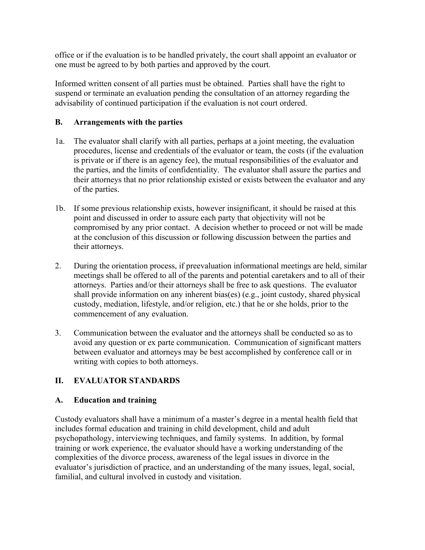office or if the evaluation is to be handled privately, the court shall appoint an evaluator or one must be agreed to by both parties and approved by the court.

Informed written consent of all parties must be obtained. Parties shall have the right to suspend or terminate an evaluation pending the consultation of an attorney regarding the advisability of continued participation if the evaluation is not court ordered.

#### **B. Arrangements with the parties**

- 1a. The evaluator shall clarify with all parties, perhaps at a joint meeting, the evaluation procedures, license and credentials of the evaluator or team, the costs (if the evaluation is private or if there is an agency fee), the mutual responsibilities of the evaluator and the parties, and the limits of confidentiality. The evaluator shall assure the parties and their attorneys that no prior relationship existed or exists between the evaluator and any of the parties.
- 1b. If some previous relationship exists, however insignificant, it should be raised at this point and discussed in order to assure each party that objectivity will not be compromised by any prior contact. A decision whether to proceed or not will be made at the conclusion of this discussion or following discussion between the parties and their attorneys.
- 2. During the orientation process, if preevaluation informational meetings are held, similar meetings shall be offered to all of the parents and potential caretakers and to all of their attorneys. Parties and/or their attorneys shall be free to ask questions. The evaluator shall provide information on any inherent bias(es) (e.g., joint custody, shared physical custody, mediation, lifestyle, and/or religion, etc.) that he or she holds, prior to the commencement of any evaluation.
- 3. Communication between the evaluator and the attorneys shall be conducted so as to avoid any question or ex parte communication. Communication of significant matters between evaluator and attorneys may be best accomplished by conference call or in writing with copies to both attorneys.

## **II. EVALUATOR STANDARDS**

#### **A. Education and training**

Custody evaluators shall have a minimum of a master's degree in a mental health field that includes formal education and training in child development, child and adult psychopathology, interviewing techniques, and family systems. In addition, by formal training or work experience, the evaluator should have a working understanding of the complexities of the divorce process, awareness of the legal issues in divorce in the evaluator's jurisdiction of practice, and an understanding of the many issues, legal, social, familial, and cultural involved in custody and visitation.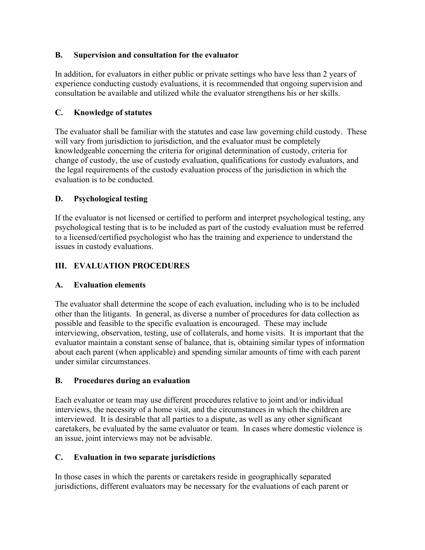#### **B. Supervision and consultation for the evaluator**

In addition, for evaluators in either public or private settings who have less than 2 years of experience conducting custody evaluations, it is recommended that ongoing supervision and consultation be available and utilized while the evaluator strengthens his or her skills.

## **C. Knowledge of statutes**

The evaluator shall be familiar with the statutes and case law governing child custody. These will vary from jurisdiction to jurisdiction, and the evaluator must be completely knowledgeable concerning the criteria for original determination of custody, criteria for change of custody, the use of custody evaluation, qualifications for custody evaluators, and the legal requirements of the custody evaluation process of the jurisdiction in which the evaluation is to be conducted.

### **D. Psychological testing**

If the evaluator is not licensed or certified to perform and interpret psychological testing, any psychological testing that is to be included as part of the custody evaluation must be referred to a licensed/certified psychologist who has the training and experience to understand the issues in custody evaluations.

## **III. EVALUATION PROCEDURES**

## **A. Evaluation elements**

The evaluator shall determine the scope of each evaluation, including who is to be included other than the litigants. In general, as diverse a number of procedures for data collection as possible and feasible to the specific evaluation is encouraged. These may include interviewing, observation, testing, use of collaterals, and home visits. It is important that the evaluator maintain a constant sense of balance, that is, obtaining similar types of information about each parent (when applicable) and spending similar amounts of time with each parent under similar circumstances.

## **B. Procedures during an evaluation**

Each evaluator or team may use different procedures relative to joint and/or individual interviews, the necessity of a home visit, and the circumstances in which the children are interviewed. It is desirable that all parties to a dispute, as well as any other significant caretakers, be evaluated by the same evaluator or team. In cases where domestic violence is an issue, joint interviews may not be advisable.

## **C. Evaluation in two separate jurisdictions**

In those cases in which the parents or caretakers reside in geographically separated jurisdictions, different evaluators may be necessary for the evaluations of each parent or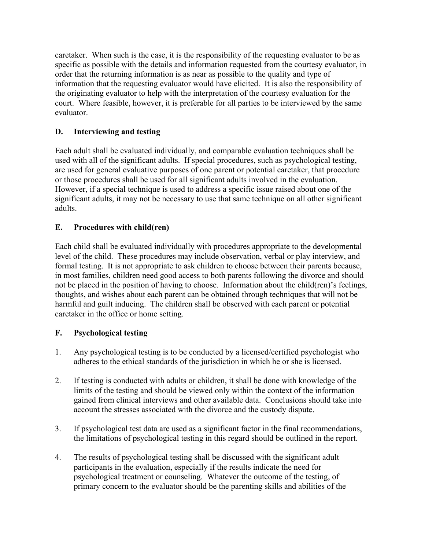caretaker. When such is the case, it is the responsibility of the requesting evaluator to be as specific as possible with the details and information requested from the courtesy evaluator, in order that the returning information is as near as possible to the quality and type of information that the requesting evaluator would have elicited. It is also the responsibility of the originating evaluator to help with the interpretation of the courtesy evaluation for the court. Where feasible, however, it is preferable for all parties to be interviewed by the same evaluator.

# **D. Interviewing and testing**

Each adult shall be evaluated individually, and comparable evaluation techniques shall be used with all of the significant adults. If special procedures, such as psychological testing, are used for general evaluative purposes of one parent or potential caretaker, that procedure or those procedures shall be used for all significant adults involved in the evaluation. However, if a special technique is used to address a specific issue raised about one of the significant adults, it may not be necessary to use that same technique on all other significant adults.

## **E. Procedures with child(ren)**

Each child shall be evaluated individually with procedures appropriate to the developmental level of the child. These procedures may include observation, verbal or play interview, and formal testing. It is not appropriate to ask children to choose between their parents because, in most families, children need good access to both parents following the divorce and should not be placed in the position of having to choose. Information about the child(ren)'s feelings, thoughts, and wishes about each parent can be obtained through techniques that will not be harmful and guilt inducing. The children shall be observed with each parent or potential caretaker in the office or home setting.

#### **F. Psychological testing**

- 1. Any psychological testing is to be conducted by a licensed/certified psychologist who adheres to the ethical standards of the jurisdiction in which he or she is licensed.
- 2. If testing is conducted with adults or children, it shall be done with knowledge of the limits of the testing and should be viewed only within the context of the information gained from clinical interviews and other available data. Conclusions should take into account the stresses associated with the divorce and the custody dispute.
- 3. If psychological test data are used as a significant factor in the final recommendations, the limitations of psychological testing in this regard should be outlined in the report.
- 4. The results of psychological testing shall be discussed with the significant adult participants in the evaluation, especially if the results indicate the need for psychological treatment or counseling. Whatever the outcome of the testing, of primary concern to the evaluator should be the parenting skills and abilities of the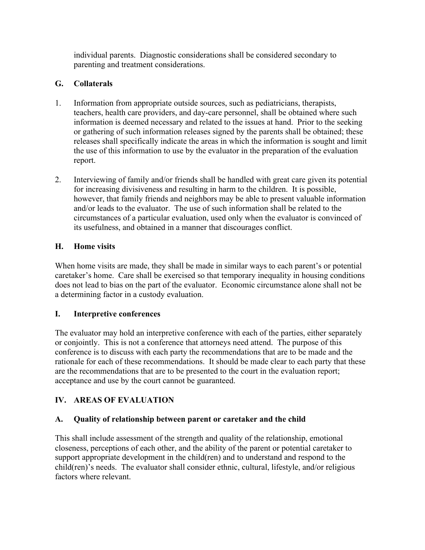individual parents. Diagnostic considerations shall be considered secondary to parenting and treatment considerations.

### **G. Collaterals**

- 1. Information from appropriate outside sources, such as pediatricians, therapists, teachers, health care providers, and day-care personnel, shall be obtained where such information is deemed necessary and related to the issues at hand. Prior to the seeking or gathering of such information releases signed by the parents shall be obtained; these releases shall specifically indicate the areas in which the information is sought and limit the use of this information to use by the evaluator in the preparation of the evaluation report.
- 2. Interviewing of family and/or friends shall be handled with great care given its potential for increasing divisiveness and resulting in harm to the children. It is possible, however, that family friends and neighbors may be able to present valuable information and/or leads to the evaluator. The use of such information shall be related to the circumstances of a particular evaluation, used only when the evaluator is convinced of its usefulness, and obtained in a manner that discourages conflict.

### **H. Home visits**

When home visits are made, they shall be made in similar ways to each parent's or potential caretaker's home. Care shall be exercised so that temporary inequality in housing conditions does not lead to bias on the part of the evaluator. Economic circumstance alone shall not be a determining factor in a custody evaluation.

## **I. Interpretive conferences**

The evaluator may hold an interpretive conference with each of the parties, either separately or conjointly. This is not a conference that attorneys need attend. The purpose of this conference is to discuss with each party the recommendations that are to be made and the rationale for each of these recommendations. It should be made clear to each party that these are the recommendations that are to be presented to the court in the evaluation report; acceptance and use by the court cannot be guaranteed.

## **IV. AREAS OF EVALUATION**

## **A. Quality of relationship between parent or caretaker and the child**

This shall include assessment of the strength and quality of the relationship, emotional closeness, perceptions of each other, and the ability of the parent or potential caretaker to support appropriate development in the child(ren) and to understand and respond to the child(ren)'s needs. The evaluator shall consider ethnic, cultural, lifestyle, and/or religious factors where relevant.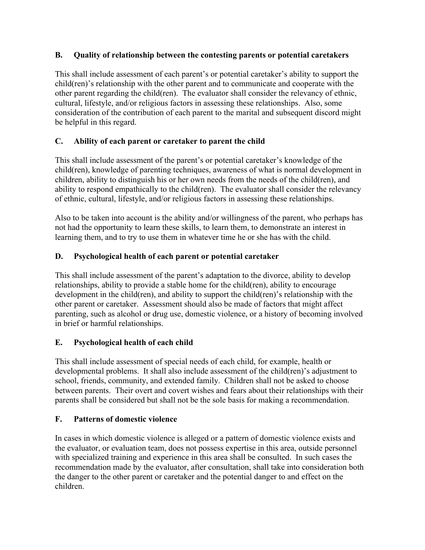#### **B. Quality of relationship between the contesting parents or potential caretakers**

This shall include assessment of each parent's or potential caretaker's ability to support the child(ren)'s relationship with the other parent and to communicate and cooperate with the other parent regarding the child(ren). The evaluator shall consider the relevancy of ethnic, cultural, lifestyle, and/or religious factors in assessing these relationships. Also, some consideration of the contribution of each parent to the marital and subsequent discord might be helpful in this regard.

# **C. Ability of each parent or caretaker to parent the child**

This shall include assessment of the parent's or potential caretaker's knowledge of the child(ren), knowledge of parenting techniques, awareness of what is normal development in children, ability to distinguish his or her own needs from the needs of the child(ren), and ability to respond empathically to the child(ren). The evaluator shall consider the relevancy of ethnic, cultural, lifestyle, and/or religious factors in assessing these relationships.

Also to be taken into account is the ability and/or willingness of the parent, who perhaps has not had the opportunity to learn these skills, to learn them, to demonstrate an interest in learning them, and to try to use them in whatever time he or she has with the child.

# **D. Psychological health of each parent or potential caretaker**

This shall include assessment of the parent's adaptation to the divorce, ability to develop relationships, ability to provide a stable home for the child(ren), ability to encourage development in the child(ren), and ability to support the child(ren)'s relationship with the other parent or caretaker. Assessment should also be made of factors that might affect parenting, such as alcohol or drug use, domestic violence, or a history of becoming involved in brief or harmful relationships.

# **E. Psychological health of each child**

This shall include assessment of special needs of each child, for example, health or developmental problems. It shall also include assessment of the child(ren)'s adjustment to school, friends, community, and extended family. Children shall not be asked to choose between parents. Their overt and covert wishes and fears about their relationships with their parents shall be considered but shall not be the sole basis for making a recommendation.

# **F. Patterns of domestic violence**

In cases in which domestic violence is alleged or a pattern of domestic violence exists and the evaluator, or evaluation team, does not possess expertise in this area, outside personnel with specialized training and experience in this area shall be consulted. In such cases the recommendation made by the evaluator, after consultation, shall take into consideration both the danger to the other parent or caretaker and the potential danger to and effect on the children.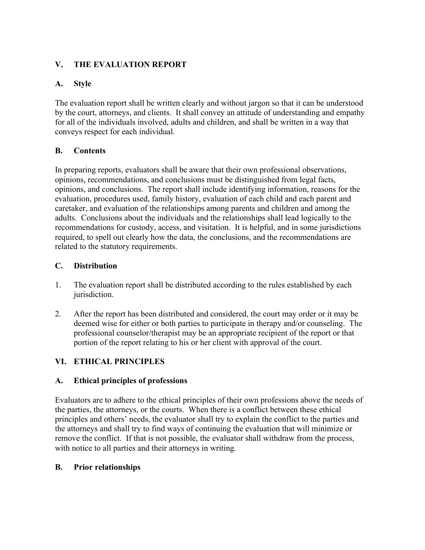## **V. THE EVALUATION REPORT**

### **A. Style**

The evaluation report shall be written clearly and without jargon so that it can be understood by the court, attorneys, and clients. It shall convey an attitude of understanding and empathy for all of the individuals involved, adults and children, and shall be written in a way that conveys respect for each individual.

#### **B. Contents**

In preparing reports, evaluators shall be aware that their own professional observations, opinions, recommendations, and conclusions must be distinguished from legal facts, opinions, and conclusions. The report shall include identifying information, reasons for the evaluation, procedures used, family history, evaluation of each child and each parent and caretaker, and evaluation of the relationships among parents and children and among the adults. Conclusions about the individuals and the relationships shall lead logically to the recommendations for custody, access, and visitation. It is helpful, and in some jurisdictions required, to spell out clearly how the data, the conclusions, and the recommendations are related to the statutory requirements.

#### **C. Distribution**

- 1. The evaluation report shall be distributed according to the rules established by each jurisdiction.
- 2. After the report has been distributed and considered, the court may order or it may be deemed wise for either or both parties to participate in therapy and/or counseling. The professional counselor/therapist may be an appropriate recipient of the report or that portion of the report relating to his or her client with approval of the court.

## **VI. ETHICAL PRINCIPLES**

#### **A. Ethical principles of professions**

Evaluators are to adhere to the ethical principles of their own professions above the needs of the parties, the attorneys, or the courts. When there is a conflict between these ethical principles and others' needs, the evaluator shall try to explain the conflict to the parties and the attorneys and shall try to find ways of continuing the evaluation that will minimize or remove the conflict. If that is not possible, the evaluator shall withdraw from the process, with notice to all parties and their attorneys in writing.

#### **B. Prior relationships**